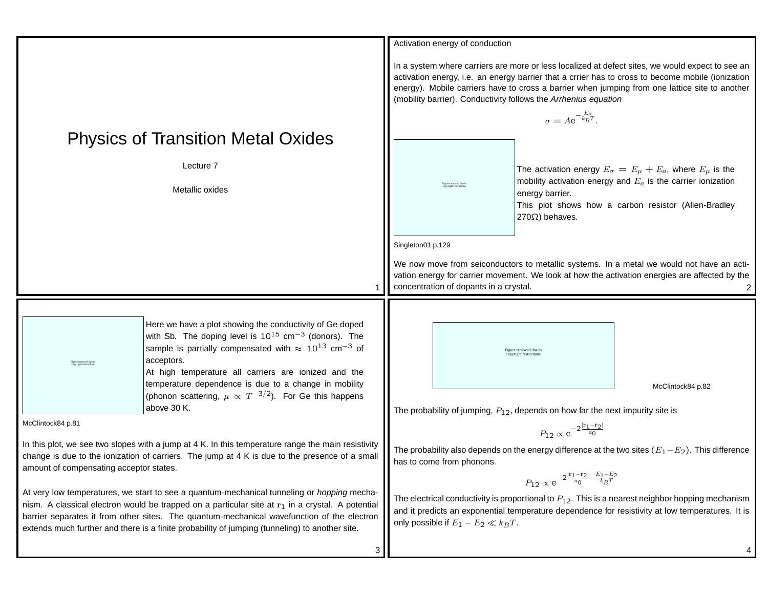|                                                                                                                                                                                                                                                                                                                                                                                                   |                                                                                                                                                                                                                                                                                                                                                | Activation energy of conduction                                                                                                                                                                                                                                                                                                                                            |                                              |                                                                                                                                                                                                       |  |
|---------------------------------------------------------------------------------------------------------------------------------------------------------------------------------------------------------------------------------------------------------------------------------------------------------------------------------------------------------------------------------------------------|------------------------------------------------------------------------------------------------------------------------------------------------------------------------------------------------------------------------------------------------------------------------------------------------------------------------------------------------|----------------------------------------------------------------------------------------------------------------------------------------------------------------------------------------------------------------------------------------------------------------------------------------------------------------------------------------------------------------------------|----------------------------------------------|-------------------------------------------------------------------------------------------------------------------------------------------------------------------------------------------------------|--|
| <b>Physics of Transition Metal Oxides</b>                                                                                                                                                                                                                                                                                                                                                         |                                                                                                                                                                                                                                                                                                                                                | In a system where carriers are more or less localized at defect sites, we would expect to see an<br>activation energy, i.e. an energy barrier that a crrier has to cross to become mobile (ionization<br>energy). Mobile carriers have to cross a barrier when jumping from one lattice site to another<br>(mobility barrier). Conductivity follows the Arrhenius equation |                                              |                                                                                                                                                                                                       |  |
|                                                                                                                                                                                                                                                                                                                                                                                                   |                                                                                                                                                                                                                                                                                                                                                | $\sigma = Ae^{-\frac{E_{\sigma}}{k_BT}}$ .                                                                                                                                                                                                                                                                                                                                 |                                              |                                                                                                                                                                                                       |  |
|                                                                                                                                                                                                                                                                                                                                                                                                   |                                                                                                                                                                                                                                                                                                                                                |                                                                                                                                                                                                                                                                                                                                                                            |                                              |                                                                                                                                                                                                       |  |
| Lecture 7<br>Metallic oxides                                                                                                                                                                                                                                                                                                                                                                      |                                                                                                                                                                                                                                                                                                                                                |                                                                                                                                                                                                                                                                                                                                                                            | energy barrier.<br>$270\Omega$ ) behaves.    | The activation energy $E_{\sigma} = E_{\mu} + E_a$ , where $E_{\mu}$ is the<br>mobility activation energy and $E_a$ is the carrier ionization<br>This plot shows how a carbon resistor (Allen-Bradley |  |
|                                                                                                                                                                                                                                                                                                                                                                                                   |                                                                                                                                                                                                                                                                                                                                                | Singleton01 p.129                                                                                                                                                                                                                                                                                                                                                          |                                              |                                                                                                                                                                                                       |  |
|                                                                                                                                                                                                                                                                                                                                                                                                   |                                                                                                                                                                                                                                                                                                                                                | We now move from seiconductors to metallic systems. In a metal we would not have an acti-<br>vation energy for carrier movement. We look at how the activation energies are affected by the<br>concentration of dopants in a crystal.                                                                                                                                      |                                              |                                                                                                                                                                                                       |  |
|                                                                                                                                                                                                                                                                                                                                                                                                   |                                                                                                                                                                                                                                                                                                                                                |                                                                                                                                                                                                                                                                                                                                                                            |                                              |                                                                                                                                                                                                       |  |
|                                                                                                                                                                                                                                                                                                                                                                                                   | Here we have a plot showing the conductivity of Ge doped<br>with Sb. The doping level is $10^{15}$ cm <sup>-3</sup> (donors). The<br>sample is partially compensated with $\approx 10^{13}$ cm <sup>-3</sup> of<br>acceptors.<br>At high temperature all carriers are ionized and the<br>temperature dependence is due to a change in mobility |                                                                                                                                                                                                                                                                                                                                                                            | Figure removed due to<br>pyright restriction |                                                                                                                                                                                                       |  |
|                                                                                                                                                                                                                                                                                                                                                                                                   | (phonon scattering, $\mu \propto T^{-3/2}$ ). For Ge this happens                                                                                                                                                                                                                                                                              |                                                                                                                                                                                                                                                                                                                                                                            |                                              | McClintock84 p.82                                                                                                                                                                                     |  |
| above 30 K.<br>McClintock84 p.81                                                                                                                                                                                                                                                                                                                                                                  |                                                                                                                                                                                                                                                                                                                                                | The probability of jumping, $P_{12}$ , depends on how far the next impurity site is                                                                                                                                                                                                                                                                                        |                                              |                                                                                                                                                                                                       |  |
| In this plot, we see two slopes with a jump at 4 K. In this temperature range the main resistivity<br>change is due to the ionization of carriers. The jump at 4 K is due to the presence of a small<br>amount of compensating acceptor states.                                                                                                                                                   |                                                                                                                                                                                                                                                                                                                                                | $P_{12} \propto e^{-2\frac{ {\bf r_1}-{\bf r_2} }{a_0}}$<br>The probability also depends on the energy difference at the two sites $(E_1-E_2)$ . This difference<br>has to come from phonons.<br>$P_{12} \propto {\rm e}^{-2\frac{ {\bf r_1}-{\bf r_2} }{a_0}-\frac{E_1-E_2}{k_BT}}$                                                                                       |                                              |                                                                                                                                                                                                       |  |
| At very low temperatures, we start to see a quantum-mechanical tunneling or hopping mecha-<br>nism. A classical electron would be trapped on a particular site at $r_1$ in a crystal. A potential<br>barrier separates it from other sites. The quantum-mechanical wavefunction of the electron<br>extends much further and there is a finite probability of jumping (tunneling) to another site. |                                                                                                                                                                                                                                                                                                                                                | The electrical conductivity is proportional to $P_{12}$ . This is a nearest neighbor hopping mechanism<br>and it predicts an exponential temperature dependence for resistivity at low temperatures. It is<br>only possible if $E_1 - E_2 \ll k_B T$ .                                                                                                                     |                                              |                                                                                                                                                                                                       |  |

 $3$ 

4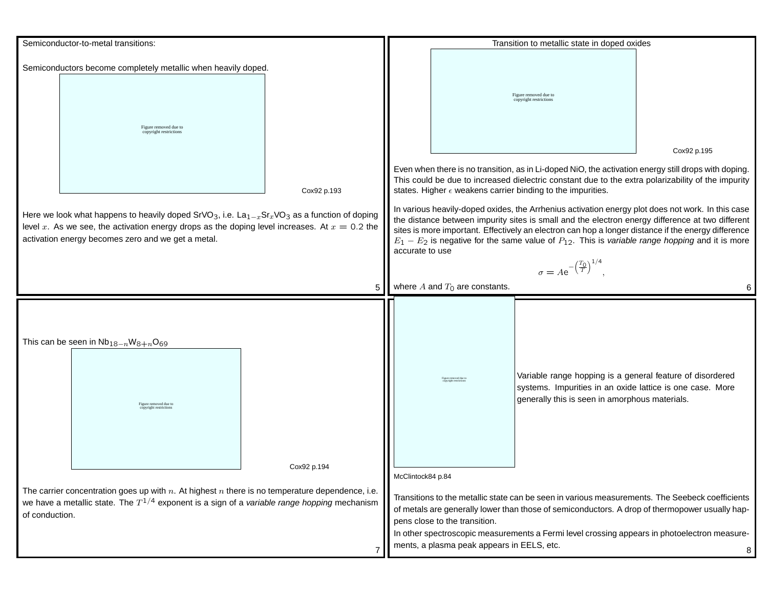| Semiconductor-to-metal transitions:                                                                                                                                                                                                                                     |             |                                                      | Transition to metallic state in doped oxides                                                                                                                                                                                                                                                                                                                                                                                              |                                                                                                                                                                                                                                                                                    |             |
|-------------------------------------------------------------------------------------------------------------------------------------------------------------------------------------------------------------------------------------------------------------------------|-------------|------------------------------------------------------|-------------------------------------------------------------------------------------------------------------------------------------------------------------------------------------------------------------------------------------------------------------------------------------------------------------------------------------------------------------------------------------------------------------------------------------------|------------------------------------------------------------------------------------------------------------------------------------------------------------------------------------------------------------------------------------------------------------------------------------|-------------|
| Semiconductors become completely metallic when heavily doped.                                                                                                                                                                                                           |             |                                                      |                                                                                                                                                                                                                                                                                                                                                                                                                                           |                                                                                                                                                                                                                                                                                    |             |
| Figure removed due to<br>copyright restrictions                                                                                                                                                                                                                         |             |                                                      |                                                                                                                                                                                                                                                                                                                                                                                                                                           | Figure removed due to<br>copyright restrictions                                                                                                                                                                                                                                    |             |
|                                                                                                                                                                                                                                                                         |             |                                                      |                                                                                                                                                                                                                                                                                                                                                                                                                                           |                                                                                                                                                                                                                                                                                    | Cox92 p.195 |
|                                                                                                                                                                                                                                                                         | Cox92 p.193 |                                                      |                                                                                                                                                                                                                                                                                                                                                                                                                                           | Even when there is no transition, as in Li-doped NiO, the activation energy still drops with doping.<br>This could be due to increased dielectric constant due to the extra polarizability of the impurity<br>states. Higher $\epsilon$ weakens carrier binding to the impurities. |             |
| Here we look what happens to heavily doped SrVO <sub>3</sub> , i.e. $La_{1-x}Sr_xVO_3$ as a function of doping<br>level x. As we see, the activation energy drops as the doping level increases. At $x = 0.2$ the<br>activation energy becomes zero and we get a metal. |             |                                                      | In various heavily-doped oxides, the Arrhenius activation energy plot does not work. In this case<br>the distance between impurity sites is small and the electron energy difference at two different<br>sites is more important. Effectively an electron can hop a longer distance if the energy difference<br>$E_1 - E_2$ is negative for the same value of $P_{12}$ . This is variable range hopping and it is more<br>accurate to use |                                                                                                                                                                                                                                                                                    |             |
|                                                                                                                                                                                                                                                                         |             | $\sigma = A e^{-\left(\frac{T_0}{T}\right)^{1/4}}$ . |                                                                                                                                                                                                                                                                                                                                                                                                                                           |                                                                                                                                                                                                                                                                                    |             |
|                                                                                                                                                                                                                                                                         | 5           | where $A$ and $T_0$ are constants.                   |                                                                                                                                                                                                                                                                                                                                                                                                                                           |                                                                                                                                                                                                                                                                                    |             |
| This can be seen in $Nb_{18-n}W_{8+n}O_{69}$<br>Figure removed due to<br>opyright restriction<br>Cox92 p.194                                                                                                                                                            |             |                                                      | Figure removed due t<br>ovright rest                                                                                                                                                                                                                                                                                                                                                                                                      | Variable range hopping is a general feature of disordered<br>systems. Impurities in an oxide lattice is one case. More<br>generally this is seen in amorphous materials.                                                                                                           |             |
|                                                                                                                                                                                                                                                                         |             | McClintock84 p.84                                    |                                                                                                                                                                                                                                                                                                                                                                                                                                           |                                                                                                                                                                                                                                                                                    |             |
| The carrier concentration goes up with $n$ . At highest $n$ there is no temperature dependence, i.e.<br>we have a metallic state. The $T^{1/4}$ exponent is a sign of a variable range hopping mechanism<br>of conduction.                                              |             |                                                      | Transitions to the metallic state can be seen in various measurements. The Seebeck coefficients<br>of metals are generally lower than those of semiconductors. A drop of thermopower usually hap-<br>pens close to the transition.<br>In other spectroscopic measurements a Fermi level crossing appears in photoelectron measure-<br>ments, a plasma peak appears in EELS, etc.<br>8                                                     |                                                                                                                                                                                                                                                                                    |             |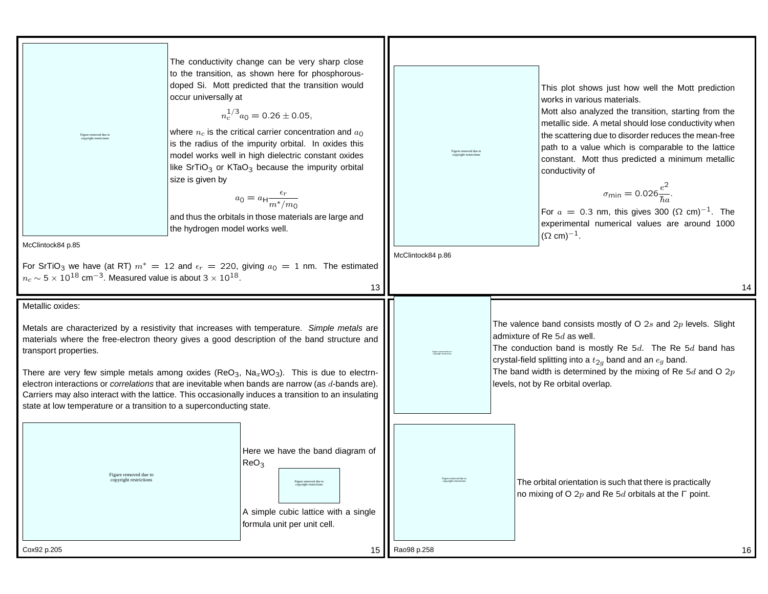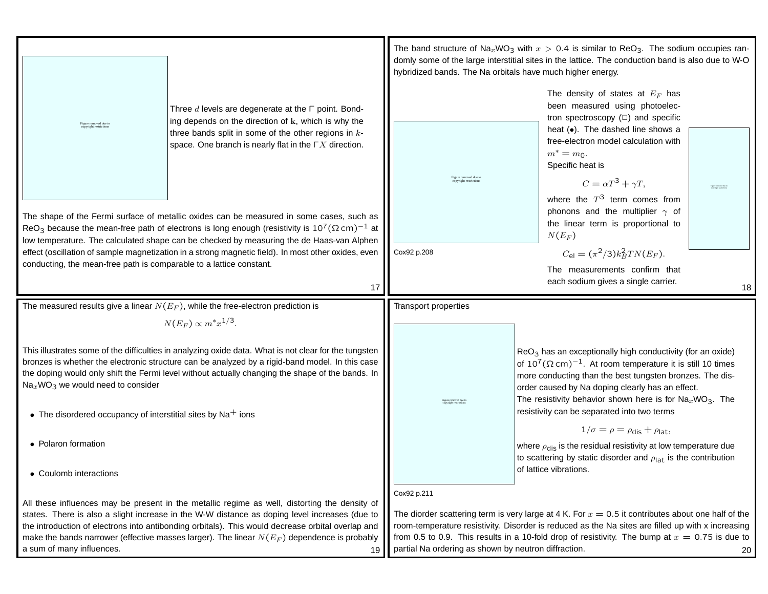|                                                                                                                                                                                                                                                                                                                                                                                                                                                                     | hybridized bands. The Na orbitals have much higher energy.                                                                                                                                                                                                                                                                                                                                 | The band structure of Na <sub>x</sub> WO <sub>3</sub> with $x > 0.4$ is similar to ReO <sub>3</sub> . The sodium occupies ran-<br>domly some of the large interstitial sites in the lattice. The conduction band is also due to W-O                                                                                                                                                                                                                                                                                                  |  |  |
|---------------------------------------------------------------------------------------------------------------------------------------------------------------------------------------------------------------------------------------------------------------------------------------------------------------------------------------------------------------------------------------------------------------------------------------------------------------------|--------------------------------------------------------------------------------------------------------------------------------------------------------------------------------------------------------------------------------------------------------------------------------------------------------------------------------------------------------------------------------------------|--------------------------------------------------------------------------------------------------------------------------------------------------------------------------------------------------------------------------------------------------------------------------------------------------------------------------------------------------------------------------------------------------------------------------------------------------------------------------------------------------------------------------------------|--|--|
| Three $d$ levels are degenerate at the $\Gamma$ point. Bond-<br>ing depends on the direction of k, which is why the<br>Figure removed due to<br>copyright restrictions<br>three bands split in some of the other regions in $k$ -<br>space. One branch is nearly flat in the $\Gamma X$ direction.                                                                                                                                                                  |                                                                                                                                                                                                                                                                                                                                                                                            | The density of states at $E_F$ has<br>been measured using photoelec-<br>tron spectroscopy $(\square)$ and specific<br>heat (.). The dashed line shows a<br>free-electron model calculation with<br>$m^* = m_0$ .                                                                                                                                                                                                                                                                                                                     |  |  |
|                                                                                                                                                                                                                                                                                                                                                                                                                                                                     |                                                                                                                                                                                                                                                                                                                                                                                            | Specific heat is<br>$C = \alpha T^3 + \gamma T,$<br>where the $T^3$ term comes from                                                                                                                                                                                                                                                                                                                                                                                                                                                  |  |  |
| The shape of the Fermi surface of metallic oxides can be measured in some cases, such as<br>ReO <sub>3</sub> because the mean-free path of electrons is long enough (resistivity is $10^7(\Omega \text{ cm})^{-1}$ at<br>low temperature. The calculated shape can be checked by measuring the de Haas-van Alphen                                                                                                                                                   |                                                                                                                                                                                                                                                                                                                                                                                            | phonons and the multiplier $\gamma$ of<br>the linear term is proportional to<br>$N(E_F)$                                                                                                                                                                                                                                                                                                                                                                                                                                             |  |  |
| effect (oscillation of sample magnetization in a strong magnetic field). In most other oxides, even<br>conducting, the mean-free path is comparable to a lattice constant.<br>17                                                                                                                                                                                                                                                                                    | Cox92 p.208                                                                                                                                                                                                                                                                                                                                                                                | $C_{\text{el}} = (\pi^2/3) k_B^2 T N(E_F).$<br>The measurements confirm that<br>each sodium gives a single carrier.<br>18                                                                                                                                                                                                                                                                                                                                                                                                            |  |  |
| The measured results give a linear $N(E_F)$ , while the free-electron prediction is                                                                                                                                                                                                                                                                                                                                                                                 | Transport properties                                                                                                                                                                                                                                                                                                                                                                       |                                                                                                                                                                                                                                                                                                                                                                                                                                                                                                                                      |  |  |
| $N(E_F) \propto m^* x^{1/3}$ .                                                                                                                                                                                                                                                                                                                                                                                                                                      |                                                                                                                                                                                                                                                                                                                                                                                            |                                                                                                                                                                                                                                                                                                                                                                                                                                                                                                                                      |  |  |
| This illustrates some of the difficulties in analyzing oxide data. What is not clear for the tungsten<br>bronzes is whether the electronic structure can be analyzed by a rigid-band model. In this case<br>the doping would only shift the Fermi level without actually changing the shape of the bands. In<br>$\text{Na}_x\text{WO}_3$ we would need to consider<br>• The disordered occupancy of interstitial sites by $\text{Na}^+$ ions<br>• Polaron formation |                                                                                                                                                                                                                                                                                                                                                                                            | $ReO3$ has an exceptionally high conductivity (for an oxide)<br>of $10^7$ ( $\Omega$ cm) <sup>-1</sup> . At room temperature it is still 10 times<br>more conducting than the best tungsten bronzes. The dis-<br>order caused by Na doping clearly has an effect.<br>The resistivity behavior shown here is for $\text{Na}_x \text{WO}_3$ . The<br>resistivity can be separated into two terms<br>$1/\sigma = \rho = \rho_{\text{dis}} + \rho_{\text{lat}}$<br>where $\rho_{dis}$ is the residual resistivity at low temperature due |  |  |
| • Coulomb interactions                                                                                                                                                                                                                                                                                                                                                                                                                                              |                                                                                                                                                                                                                                                                                                                                                                                            | to scattering by static disorder and $\rho_{\text{lat}}$ is the contribution<br>of lattice vibrations.                                                                                                                                                                                                                                                                                                                                                                                                                               |  |  |
| All these influences may be present in the metallic regime as well, distorting the density of<br>states. There is also a slight increase in the W-W distance as doping level increases (due to<br>the introduction of electrons into antibonding orbitals). This would decrease orbital overlap and<br>make the bands narrower (effective masses larger). The linear $N(E_F)$ dependence is probably<br>a sum of many influences.<br>19                             | Cox92 p.211<br>The diorder scattering term is very large at 4 K. For $x = 0.5$ it contributes about one half of the<br>room-temperature resistivity. Disorder is reduced as the Na sites are filled up with x increasing<br>from 0.5 to 0.9. This results in a 10-fold drop of resistivity. The bump at $x = 0.75$ is due to<br>partial Na ordering as shown by neutron diffraction.<br>20 |                                                                                                                                                                                                                                                                                                                                                                                                                                                                                                                                      |  |  |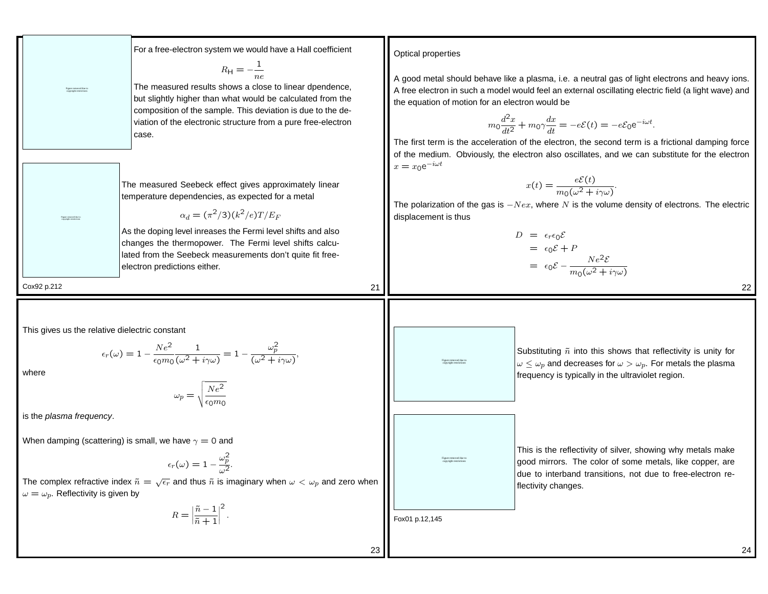For a tree electron system we would have a field coefficient  
\n
$$
En_1 = -\frac{1}{\sqrt{2}}
$$
  
\nFor a measure of search was a close to linear dependence.  
\n $En_2 = -\frac{1}{\sqrt{2}}$   
\n $En_3 = -\frac{1}{\sqrt{2}}$   
\n $Ch_4 = -\frac{1}{\sqrt{2}}$   
\n $Ch_5 = -\frac{1}{\sqrt{2}}$   
\n $Ch_6 = -\frac{1}{\sqrt{2}}$   
\n $Ch_7 = -\frac{1}{\sqrt{2}}$   
\n $Ch_8 = -\frac{1}{\sqrt{2}}$   
\n $Ch_9 = -\frac{1}{\sqrt{2}}$   
\n $Ch_9 = -\frac{1}{\sqrt{2}}$   
\n $Ch_9 = -\frac{1}{\sqrt{2}}$   
\n $Ch_9 = -\frac{1}{\sqrt{2}}$   
\n $Ch_9 = -\frac{1}{\sqrt{2}}$   
\n $Ch_9 = -\frac{1}{\sqrt{2}}$   
\n $Ch_9 = -\frac{1}{\sqrt{2}}$   
\n $Ch_9 = -\frac{1}{\sqrt{2}}$   
\n $Ch_9 = -\frac{1}{\sqrt{2}}$   
\n $Ch_9 = -\frac{1}{\sqrt{2}}$   
\n $Ch_9 = -\frac{1}{\sqrt{2}}$   
\n $Ch_9 = -\frac{1}{\sqrt{2}}$   
\n $Ch_9 = -\frac{1}{\sqrt{2}}$   
\n $Ch_9 = -\frac{1}{\sqrt{2}}$   
\n $Ch_9 = -\frac{1}{\sqrt{2}}$   
\n $Ch_9 = -\frac{1}{\sqrt{2}}$   
\n $Ch_9 = -\frac{1}{\sqrt{2}}$   
\n $Ch_9 = -\frac{1}{\sqrt{2}}$   
\n $Ch_9 = -\frac{1}{\sqrt{2}}$   
\n $Ch_9 = -\frac{1}{\sqrt{2}}$   
\n $Ch_9 = -\frac{1}{\sqrt{2}}$   
\n $Ch_9 = -\frac{1}{\sqrt{2}}$   
\n $Ch_9 = -\frac{1}{\sqrt{2}}$   
\n $Ch_9 = -\frac{1}{\sqrt{2}}$   
\n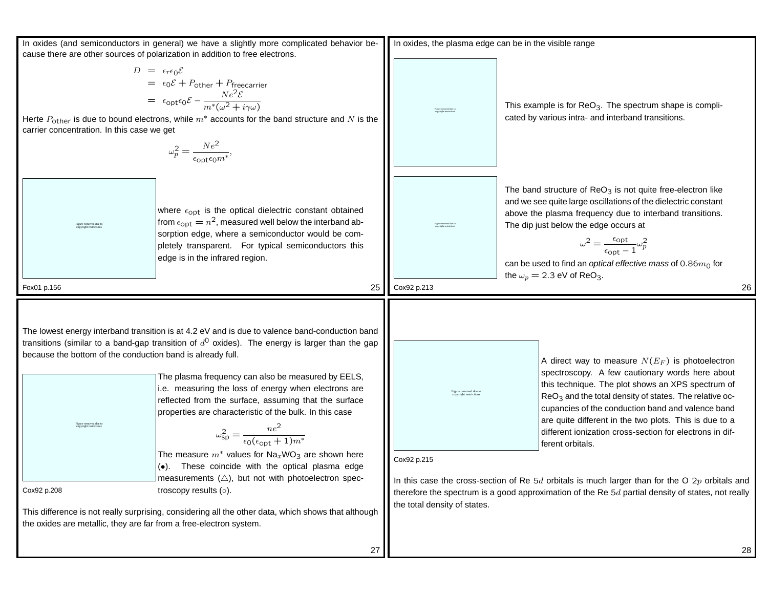